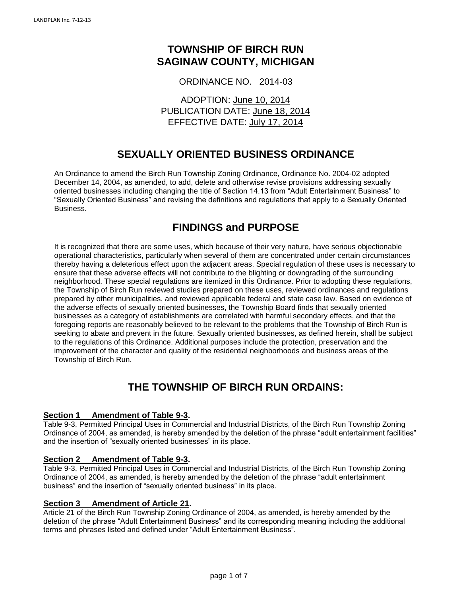# **TOWNSHIP OF BIRCH RUN SAGINAW COUNTY, MICHIGAN**

ORDINANCE NO. 2014-03

ADOPTION: June 10, 2014 PUBLICATION DATE: June 18, 2014 EFFECTIVE DATE: July 17, 2014

## **SEXUALLY ORIENTED BUSINESS ORDINANCE**

An Ordinance to amend the Birch Run Township Zoning Ordinance, Ordinance No. 2004-02 adopted December 14, 2004, as amended, to add, delete and otherwise revise provisions addressing sexually oriented businesses including changing the title of Section 14.13 from "Adult Entertainment Business" to "Sexually Oriented Business" and revising the definitions and regulations that apply to a Sexually Oriented Business.

## **FINDINGS and PURPOSE**

It is recognized that there are some uses, which because of their very nature, have serious objectionable operational characteristics, particularly when several of them are concentrated under certain circumstances thereby having a deleterious effect upon the adjacent areas. Special regulation of these uses is necessary to ensure that these adverse effects will not contribute to the blighting or downgrading of the surrounding neighborhood. These special regulations are itemized in this Ordinance. Prior to adopting these regulations, the Township of Birch Run reviewed studies prepared on these uses, reviewed ordinances and regulations prepared by other municipalities, and reviewed applicable federal and state case law. Based on evidence of the adverse effects of sexually oriented businesses, the Township Board finds that sexually oriented businesses as a category of establishments are correlated with harmful secondary effects, and that the foregoing reports are reasonably believed to be relevant to the problems that the Township of Birch Run is seeking to abate and prevent in the future. Sexually oriented businesses, as defined herein, shall be subject to the regulations of this Ordinance. Additional purposes include the protection, preservation and the improvement of the character and quality of the residential neighborhoods and business areas of the Township of Birch Run.

# **THE TOWNSHIP OF BIRCH RUN ORDAINS:**

## **Section 1 Amendment of Table 9-3.**

Table 9-3, Permitted Principal Uses in Commercial and Industrial Districts, of the Birch Run Township Zoning Ordinance of 2004, as amended, is hereby amended by the deletion of the phrase "adult entertainment facilities" and the insertion of "sexually oriented businesses" in its place.

## **Section 2 Amendment of Table 9-3.**

Table 9-3, Permitted Principal Uses in Commercial and Industrial Districts, of the Birch Run Township Zoning Ordinance of 2004, as amended, is hereby amended by the deletion of the phrase "adult entertainment business" and the insertion of "sexually oriented business" in its place.

## **Section 3 Amendment of Article 21.**

Article 21 of the Birch Run Township Zoning Ordinance of 2004, as amended, is hereby amended by the deletion of the phrase "Adult Entertainment Business" and its corresponding meaning including the additional terms and phrases listed and defined under "Adult Entertainment Business".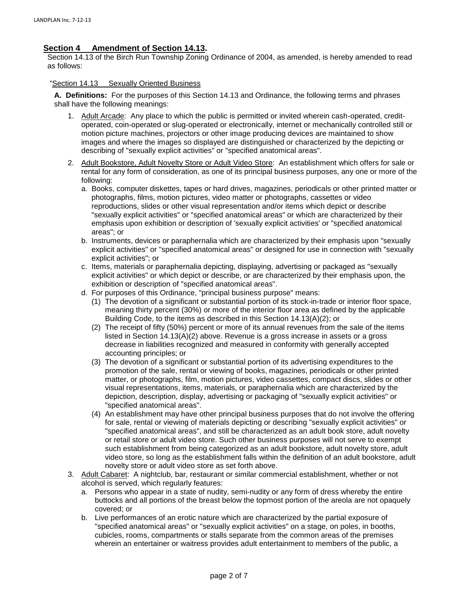### **Section 4 Amendment of Section 14.13.**

Section 14.13 of the Birch Run Township Zoning Ordinance of 2004, as amended, is hereby amended to read as follows:

#### "Section 14.13 Sexually Oriented Business

**A. Definitions:** For the purposes of this Section 14.13 and Ordinance, the following terms and phrases shall have the following meanings:

- 1. Adult Arcade: Any place to which the public is permitted or invited wherein cash-operated, creditoperated, coin-operated or slug-operated or electronically, internet or mechanically controlled still or motion picture machines, projectors or other image producing devices are maintained to show images and where the images so displayed are distinguished or characterized by the depicting or describing of "sexually explicit activities" or "specified anatomical areas".
- 2. Adult Bookstore, Adult Novelty Store or Adult Video Store: An establishment which offers for sale or rental for any form of consideration, as one of its principal business purposes, any one or more of the following:
	- a. Books, computer diskettes, tapes or hard drives, magazines, periodicals or other printed matter or photographs, films, motion pictures, video matter or photographs, cassettes or video reproductions, slides or other visual representation and/or items which depict or describe "sexually explicit activities" or "specified anatomical areas" or which are characterized by their emphasis upon exhibition or description of 'sexually explicit activities' or "specified anatomical areas"; or
	- b. Instruments, devices or paraphernalia which are characterized by their emphasis upon "sexually explicit activities" or "specified anatomical areas" or designed for use in connection with "sexually explicit activities"; or
	- c. Items, materials or paraphernalia depicting, displaying, advertising or packaged as "sexually explicit activities" or which depict or describe, or are characterized by their emphasis upon, the exhibition or description of "specified anatomical areas".
	- d. For purposes of this Ordinance, "principal business purpose" means:
		- (1) The devotion of a significant or substantial portion of its stock-in-trade or interior floor space, meaning thirty percent (30%) or more of the interior floor area as defined by the applicable Building Code, to the items as described in this Section 14.13(A)(2); or
		- (2) The receipt of fifty (50%) percent or more of its annual revenues from the sale of the items listed in Section 14.13(A)(2) above. Revenue is a gross increase in assets or a gross decrease in liabilities recognized and measured in conformity with generally accepted accounting principles; or
		- (3) The devotion of a significant or substantial portion of its advertising expenditures to the promotion of the sale, rental or viewing of books, magazines, periodicals or other printed matter, or photographs, film, motion pictures, video cassettes, compact discs, slides or other visual representations, items, materials, or paraphernalia which are characterized by the depiction, description, display, advertising or packaging of "sexually explicit activities" or "specified anatomical areas".
		- (4) An establishment may have other principal business purposes that do not involve the offering for sale, rental or viewing of materials depicting or describing "sexually explicit activities" or "specified anatomical areas", and still be characterized as an adult book store, adult novelty or retail store or adult video store. Such other business purposes will not serve to exempt such establishment from being categorized as an adult bookstore, adult novelty store, adult video store, so long as the establishment falls within the definition of an adult bookstore, adult novelty store or adult video store as set forth above.
- 3. Adult Cabaret: A nightclub, bar, restaurant or similar commercial establishment, whether or not alcohol is served, which regularly features:
	- a. Persons who appear in a state of nudity, semi-nudity or any form of dress whereby the entire buttocks and all portions of the breast below the topmost portion of the areola are not opaquely covered; or
	- b. Live performances of an erotic nature which are characterized by the partial exposure of "specified anatomical areas" or "sexually explicit activities" on a stage, on poles, in booths, cubicles, rooms, compartments or stalls separate from the common areas of the premises wherein an entertainer or waitress provides adult entertainment to members of the public, a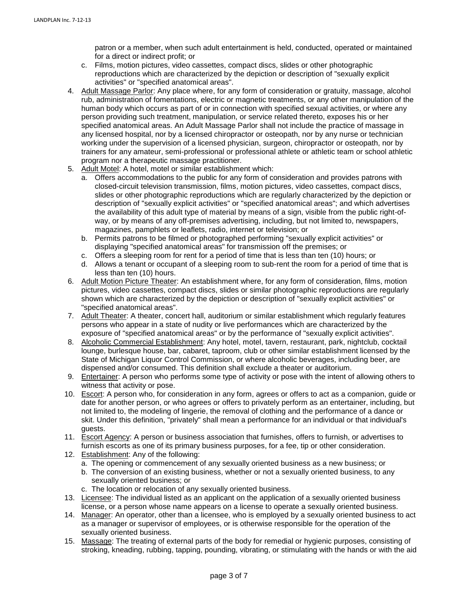patron or a member, when such adult entertainment is held, conducted, operated or maintained for a direct or indirect profit; or

- c. Films, motion pictures, video cassettes, compact discs, slides or other photographic reproductions which are characterized by the depiction or description of "sexually explicit activities" or "specified anatomical areas".
- 4. Adult Massage Parlor: Any place where, for any form of consideration or gratuity, massage, alcohol rub, administration of fomentations, electric or magnetic treatments, or any other manipulation of the human body which occurs as part of or in connection with specified sexual activities, or where any person providing such treatment, manipulation, or service related thereto, exposes his or her specified anatomical areas. An Adult Massage Parlor shall not include the practice of massage in any licensed hospital, nor by a licensed chiropractor or osteopath, nor by any nurse or technician working under the supervision of a licensed physician, surgeon, chiropractor or osteopath, nor by trainers for any amateur, semi-professional or professional athlete or athletic team or school athletic program nor a therapeutic massage practitioner.
- 5. Adult Motel: A hotel, motel or similar establishment which:
	- a. Offers accommodations to the public for any form of consideration and provides patrons with closed-circuit television transmission, films, motion pictures, video cassettes, compact discs, slides or other photographic reproductions which are regularly characterized by the depiction or description of "sexually explicit activities" or "specified anatomical areas"; and which advertises the availability of this adult type of material by means of a sign, visible from the public right-ofway, or by means of any off-premises advertising, including, but not limited to, newspapers, magazines, pamphlets or leaflets, radio, internet or television; or
	- b. Permits patrons to be filmed or photographed performing "sexually explicit activities" or displaying "specified anatomical areas" for transmission off the premises; or
	- c. Offers a sleeping room for rent for a period of time that is less than ten (10) hours; or
	- d. Allows a tenant or occupant of a sleeping room to sub-rent the room for a period of time that is less than ten (10) hours.
- 6. Adult Motion Picture Theater: An establishment where, for any form of consideration, films, motion pictures, video cassettes, compact discs, slides or similar photographic reproductions are regularly shown which are characterized by the depiction or description of "sexually explicit activities" or "specified anatomical areas".
- 7. Adult Theater: A theater, concert hall, auditorium or similar establishment which regularly features persons who appear in a state of nudity or live performances which are characterized by the exposure of "specified anatomical areas" or by the performance of "sexually explicit activities".
- 8. Alcoholic Commercial Establishment: Any hotel, motel, tavern, restaurant, park, nightclub, cocktail lounge, burlesque house, bar, cabaret, taproom, club or other similar establishment licensed by the State of Michigan Liquor Control Commission, or where alcoholic beverages, including beer, are dispensed and/or consumed. This definition shall exclude a theater or auditorium.
- 9. Entertainer: A person who performs some type of activity or pose with the intent of allowing others to witness that activity or pose.
- 10. Escort: A person who, for consideration in any form, agrees or offers to act as a companion, guide or date for another person, or who agrees or offers to privately perform as an entertainer, including, but not limited to, the modeling of lingerie, the removal of clothing and the performance of a dance or skit. Under this definition, "privately" shall mean a performance for an individual or that individual's guests.
- 11. Escort Agency: A person or business association that furnishes, offers to furnish, or advertises to furnish escorts as one of its primary business purposes, for a fee, tip or other consideration.
- 12. Establishment: Any of the following:
	- a. The opening or commencement of any sexually oriented business as a new business; or
	- b. The conversion of an existing business, whether or not a sexually oriented business, to any sexually oriented business; or
	- c. The location or relocation of any sexually oriented business.
- 13. Licensee: The individual listed as an applicant on the application of a sexually oriented business license, or a person whose name appears on a license to operate a sexually oriented business.
- 14. Manager: An operator, other than a licensee, who is employed by a sexually oriented business to act as a manager or supervisor of employees, or is otherwise responsible for the operation of the sexually oriented business.
- 15. Massage: The treating of external parts of the body for remedial or hygienic purposes, consisting of stroking, kneading, rubbing, tapping, pounding, vibrating, or stimulating with the hands or with the aid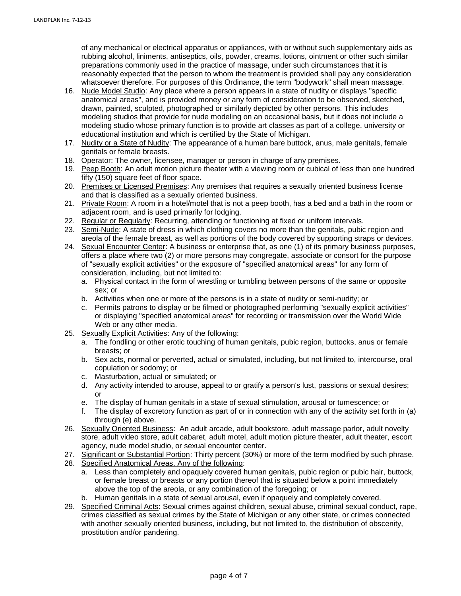of any mechanical or electrical apparatus or appliances, with or without such supplementary aids as rubbing alcohol, liniments, antiseptics, oils, powder, creams, lotions, ointment or other such similar preparations commonly used in the practice of massage, under such circumstances that it is reasonably expected that the person to whom the treatment is provided shall pay any consideration whatsoever therefore. For purposes of this Ordinance, the term "bodywork" shall mean massage.

- 16. Nude Model Studio: Any place where a person appears in a state of nudity or displays "specific anatomical areas", and is provided money or any form of consideration to be observed, sketched, drawn, painted, sculpted, photographed or similarly depicted by other persons. This includes modeling studios that provide for nude modeling on an occasional basis, but it does not include a modeling studio whose primary function is to provide art classes as part of a college, university or educational institution and which is certified by the State of Michigan.
- 17. Nudity or a State of Nudity: The appearance of a human bare buttock, anus, male genitals, female genitals or female breasts.
- 18. Operator: The owner, licensee, manager or person in charge of any premises.
- 19. Peep Booth: An adult motion picture theater with a viewing room or cubical of less than one hundred fifty (150) square feet of floor space.
- 20. Premises or Licensed Premises: Any premises that requires a sexually oriented business license and that is classified as a sexually oriented business.
- 21. Private Room: A room in a hotel/motel that is not a peep booth, has a bed and a bath in the room or adjacent room, and is used primarily for lodging.
- 22. Regular or Regularly: Recurring, attending or functioning at fixed or uniform intervals.
- 23. Semi-Nude: A state of dress in which clothing covers no more than the genitals, pubic region and areola of the female breast, as well as portions of the body covered by supporting straps or devices.
- 24. Sexual Encounter Center: A business or enterprise that, as one (1) of its primary business purposes, offers a place where two (2) or more persons may congregate, associate or consort for the purpose of "sexually explicit activities" or the exposure of "specified anatomical areas" for any form of consideration, including, but not limited to:
	- a. Physical contact in the form of wrestling or tumbling between persons of the same or opposite sex; or
	- b. Activities when one or more of the persons is in a state of nudity or semi-nudity; or
	- c. Permits patrons to display or be filmed or photographed performing "sexually explicit activities" or displaying "specified anatomical areas" for recording or transmission over the World Wide Web or any other media.
- 25. Sexually Explicit Activities: Any of the following:
	- a. The fondling or other erotic touching of human genitals, pubic region, buttocks, anus or female breasts; or
	- b. Sex acts, normal or perverted, actual or simulated, including, but not limited to, intercourse, oral copulation or sodomy; or
	- c. Masturbation, actual or simulated; or
	- d. Any activity intended to arouse, appeal to or gratify a person's lust, passions or sexual desires; or
	- e. The display of human genitals in a state of sexual stimulation, arousal or tumescence; or
	- The display of excretory function as part of or in connection with any of the activity set forth in (a) through (e) above.
- 26. Sexually Oriented Business: An adult arcade, adult bookstore, adult massage parlor, adult novelty store, adult video store, adult cabaret, adult motel, adult motion picture theater, adult theater, escort agency, nude model studio, or sexual encounter center.
- 27. Significant or Substantial Portion: Thirty percent (30%) or more of the term modified by such phrase.
- 28. Specified Anatomical Areas. Any of the following:
	- a. Less than completely and opaquely covered human genitals, pubic region or pubic hair, buttock, or female breast or breasts or any portion thereof that is situated below a point immediately above the top of the areola, or any combination of the foregoing; or
	- b. Human genitals in a state of sexual arousal, even if opaquely and completely covered.
- 29. Specified Criminal Acts: Sexual crimes against children, sexual abuse, criminal sexual conduct, rape, crimes classified as sexual crimes by the State of Michigan or any other state, or crimes connected with another sexually oriented business, including, but not limited to, the distribution of obscenity, prostitution and/or pandering.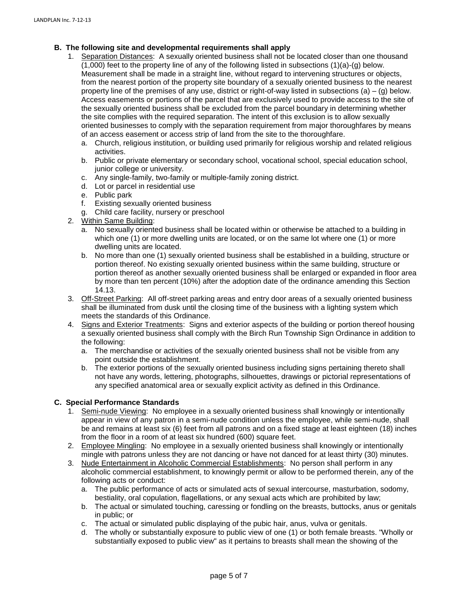## **B. The following site and developmental requirements shall apply**

- 1. Separation Distances: A sexually oriented business shall not be located closer than one thousand  $(1,000)$  feet to the property line of any of the following listed in subsections  $(1)(a)-(q)$  below. Measurement shall be made in a straight line, without regard to intervening structures or objects, from the nearest portion of the property site boundary of a sexually oriented business to the nearest property line of the premises of any use, district or right-of-way listed in subsections (a) – (g) below. Access easements or portions of the parcel that are exclusively used to provide access to the site of the sexually oriented business shall be excluded from the parcel boundary in determining whether the site complies with the required separation. The intent of this exclusion is to allow sexually oriented businesses to comply with the separation requirement from major thoroughfares by means of an access easement or access strip of land from the site to the thoroughfare.
	- a. Church, religious institution, or building used primarily for religious worship and related religious activities.
	- b. Public or private elementary or secondary school, vocational school, special education school, junior college or university.
	- c. Any single-family, two-family or multiple-family zoning district.
	- d. Lot or parcel in residential use
	- e. Public park
	- f. Existing sexually oriented business
	- g. Child care facility, nursery or preschool
- 2. Within Same Building:
	- a. No sexually oriented business shall be located within or otherwise be attached to a building in which one (1) or more dwelling units are located, or on the same lot where one (1) or more dwelling units are located.
	- b. No more than one (1) sexually oriented business shall be established in a building, structure or portion thereof. No existing sexually oriented business within the same building, structure or portion thereof as another sexually oriented business shall be enlarged or expanded in floor area by more than ten percent (10%) after the adoption date of the ordinance amending this Section 14.13.
- 3. Off-Street Parking: All off-street parking areas and entry door areas of a sexually oriented business shall be illuminated from dusk until the closing time of the business with a lighting system which meets the standards of this Ordinance.
- 4. Signs and Exterior Treatments: Signs and exterior aspects of the building or portion thereof housing a sexually oriented business shall comply with the Birch Run Township Sign Ordinance in addition to the following:
	- a. The merchandise or activities of the sexually oriented business shall not be visible from any point outside the establishment.
	- b. The exterior portions of the sexually oriented business including signs pertaining thereto shall not have any words, lettering, photographs, silhouettes, drawings or pictorial representations of any specified anatomical area or sexually explicit activity as defined in this Ordinance.

#### **C. Special Performance Standards**

- 1. Semi-nude Viewing: No employee in a sexually oriented business shall knowingly or intentionally appear in view of any patron in a semi-nude condition unless the employee, while semi-nude, shall be and remains at least six (6) feet from all patrons and on a fixed stage at least eighteen (18) inches from the floor in a room of at least six hundred (600) square feet.
- 2. Employee Mingling: No employee in a sexually oriented business shall knowingly or intentionally mingle with patrons unless they are not dancing or have not danced for at least thirty (30) minutes.
- 3. Nude Entertainment in Alcoholic Commercial Establishments: No person shall perform in any alcoholic commercial establishment, to knowingly permit or allow to be performed therein, any of the following acts or conduct:
	- a. The public performance of acts or simulated acts of sexual intercourse, masturbation, sodomy, bestiality, oral copulation, flagellations, or any sexual acts which are prohibited by law;
	- b. The actual or simulated touching, caressing or fondling on the breasts, buttocks, anus or genitals in public; or
	- c. The actual or simulated public displaying of the pubic hair, anus, vulva or genitals.
	- d. The wholly or substantially exposure to public view of one (1) or both female breasts. "Wholly or substantially exposed to public view" as it pertains to breasts shall mean the showing of the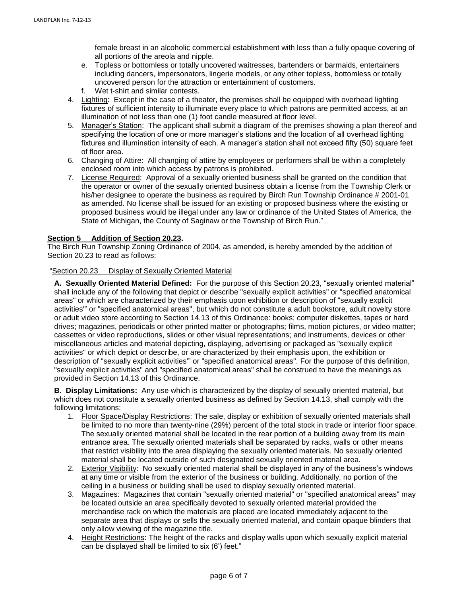female breast in an alcoholic commercial establishment with less than a fully opaque covering of all portions of the areola and nipple.

- e. Topless or bottomless or totally uncovered waitresses, bartenders or barmaids, entertainers including dancers, impersonators, lingerie models, or any other topless, bottomless or totally uncovered person for the attraction or entertainment of customers.
- Wet t-shirt and similar contests.
- 4. Lighting: Except in the case of a theater, the premises shall be equipped with overhead lighting fixtures of sufficient intensity to illuminate every place to which patrons are permitted access, at an illumination of not less than one (1) foot candle measured at floor level.
- 5. Manager's Station: The applicant shall submit a diagram of the premises showing a plan thereof and specifying the location of one or more manager's stations and the location of all overhead lighting fixtures and illumination intensity of each. A manager's station shall not exceed fifty (50) square feet of floor area.
- 6. Changing of Attire: All changing of attire by employees or performers shall be within a completely enclosed room into which access by patrons is prohibited.
- 7. License Required: Approval of a sexually oriented business shall be granted on the condition that the operator or owner of the sexually oriented business obtain a license from the Township Clerk or his/her designee to operate the business as required by Birch Run Township Ordinance # 2001-01 as amended. No license shall be issued for an existing or proposed business where the existing or proposed business would be illegal under any law or ordinance of the United States of America, the State of Michigan, the County of Saginaw or the Township of Birch Run."

### **Section 5 Addition of Section 20.23.**

The Birch Run Township Zoning Ordinance of 2004, as amended, is hereby amended by the addition of Section 20.23 to read as follows:

### "Section 20.23 Display of Sexually Oriented Material

**A. Sexually Oriented Material Defined:** For the purpose of this Section 20.23, "sexually oriented material" shall include any of the following that depict or describe "sexually explicit activities" or "specified anatomical areas" or which are characterized by their emphasis upon exhibition or description of "sexually explicit activities'" or "specified anatomical areas", but which do not constitute a adult bookstore, adult novelty store or adult video store according to Section 14.13 of this Ordinance: books; computer diskettes, tapes or hard drives; magazines, periodicals or other printed matter or photographs; films, motion pictures, or video matter; cassettes or video reproductions, slides or other visual representations; and instruments, devices or other miscellaneous articles and material depicting, displaying, advertising or packaged as "sexually explicit activities" or which depict or describe, or are characterized by their emphasis upon, the exhibition or description of "sexually explicit activities'" or "specified anatomical areas". For the purpose of this definition, "sexually explicit activities" and "specified anatomical areas" shall be construed to have the meanings as provided in Section 14.13 of this Ordinance.

**B. Display Limitations:** Any use which is characterized by the display of sexually oriented material, but which does not constitute a sexually oriented business as defined by Section 14.13, shall comply with the following limitations:

- 1. Floor Space/Display Restrictions: The sale, display or exhibition of sexually oriented materials shall be limited to no more than twenty-nine (29%) percent of the total stock in trade or interior floor space. The sexually oriented material shall be located in the rear portion of a building away from its main entrance area. The sexually oriented materials shall be separated by racks, walls or other means that restrict visibility into the area displaying the sexually oriented materials. No sexually oriented material shall be located outside of such designated sexually oriented material area.
- 2. Exterior Visibility: No sexually oriented material shall be displayed in any of the business's windows at any time or visible from the exterior of the business or building. Additionally, no portion of the ceiling in a business or building shall be used to display sexually oriented material.
- 3. Magazines: Magazines that contain "sexually oriented material" or "specified anatomical areas" may be located outside an area specifically devoted to sexually oriented material provided the merchandise rack on which the materials are placed are located immediately adjacent to the separate area that displays or sells the sexually oriented material, and contain opaque blinders that only allow viewing of the magazine title.
- 4. Height Restrictions: The height of the racks and display walls upon which sexually explicit material can be displayed shall be limited to six (6') feet."